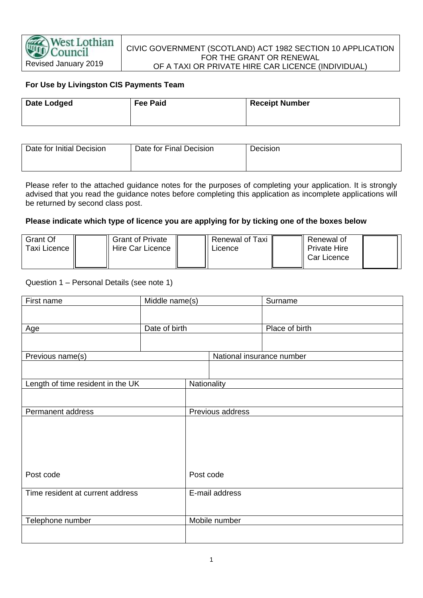

### CIVIC GOVERNMENT (SCOTLAND) ACT 1982 SECTION 10 APPLICATION FOR THE GRANT OR RENEWAL OF A TAXI OR PRIVATE HIRE CAR LICENCE (INDIVIDUAL)

# **For Use by Livingston CIS Payments Team**

| <b>Date Lodged</b> | <b>Fee Paid</b> | <b>Receipt Number</b> |
|--------------------|-----------------|-----------------------|
|                    |                 |                       |

| Date for Initial Decision | Date for Final Decision | <b>Decision</b> |  |
|---------------------------|-------------------------|-----------------|--|
|                           |                         |                 |  |

Please refer to the attached guidance notes for the purposes of completing your application. It is strongly advised that you read the guidance notes before completing this application as incomplete applications will be returned by second class post.

#### **Please indicate which type of licence you are applying for by ticking one of the boxes below**

| Grant Of<br>Taxi Licence I <sub>I</sub> | <b>Grant of Private</b><br>Hire Car Licence | Renewal of Taxi<br>∟icence | Renewal of<br><b>Private Hire</b> |  |
|-----------------------------------------|---------------------------------------------|----------------------------|-----------------------------------|--|
|                                         |                                             |                            | Car Licence                       |  |

### Question 1 – Personal Details (see note 1)

| First name                        | Middle name(s) |                           | Surname        |  |
|-----------------------------------|----------------|---------------------------|----------------|--|
|                                   |                |                           |                |  |
|                                   |                |                           | Place of birth |  |
| Age                               | Date of birth  |                           |                |  |
|                                   |                |                           |                |  |
| Previous name(s)                  |                | National insurance number |                |  |
|                                   |                |                           |                |  |
| Length of time resident in the UK |                | Nationality               |                |  |
|                                   |                |                           |                |  |
|                                   |                |                           |                |  |
| Permanent address                 |                | Previous address          |                |  |
|                                   |                |                           |                |  |
|                                   |                |                           |                |  |
|                                   |                |                           |                |  |
|                                   |                |                           |                |  |
|                                   |                |                           |                |  |
| Post code                         |                | Post code                 |                |  |
|                                   |                |                           |                |  |
| Time resident at current address  |                | E-mail address            |                |  |
|                                   |                |                           |                |  |
| Telephone number                  |                | Mobile number             |                |  |
|                                   |                |                           |                |  |
|                                   |                |                           |                |  |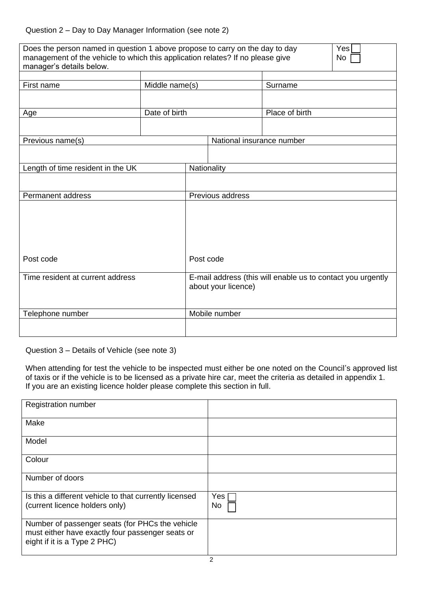| Does the person named in question 1 above propose to carry on the day to day<br>management of the vehicle to which this application relates? If no please give<br>manager's details below. |                |                                                                                    |                           |                | Yes<br>No |
|--------------------------------------------------------------------------------------------------------------------------------------------------------------------------------------------|----------------|------------------------------------------------------------------------------------|---------------------------|----------------|-----------|
| First name                                                                                                                                                                                 | Middle name(s) |                                                                                    |                           | Surname        |           |
|                                                                                                                                                                                            | Date of birth  |                                                                                    |                           | Place of birth |           |
| Age                                                                                                                                                                                        |                |                                                                                    |                           |                |           |
| Previous name(s)                                                                                                                                                                           |                |                                                                                    | National insurance number |                |           |
| Length of time resident in the UK                                                                                                                                                          |                |                                                                                    | Nationality               |                |           |
|                                                                                                                                                                                            |                |                                                                                    |                           |                |           |
| Permanent address                                                                                                                                                                          |                |                                                                                    | Previous address          |                |           |
|                                                                                                                                                                                            |                |                                                                                    |                           |                |           |
| Post code                                                                                                                                                                                  |                | Post code                                                                          |                           |                |           |
| Time resident at current address                                                                                                                                                           |                | E-mail address (this will enable us to contact you urgently<br>about your licence) |                           |                |           |
| Telephone number                                                                                                                                                                           |                | Mobile number                                                                      |                           |                |           |
|                                                                                                                                                                                            |                |                                                                                    |                           |                |           |

Question 3 – Details of Vehicle (see note 3)

When attending for test the vehicle to be inspected must either be one noted on the Council's approved list of taxis or if the vehicle is to be licensed as a private hire car, meet the criteria as detailed in appendix 1. If you are an existing licence holder please complete this section in full.

| <b>Registration number</b>                                                                                                          |             |
|-------------------------------------------------------------------------------------------------------------------------------------|-------------|
| Make                                                                                                                                |             |
| Model                                                                                                                               |             |
| Colour                                                                                                                              |             |
| Number of doors                                                                                                                     |             |
| Is this a different vehicle to that currently licensed<br>(current licence holders only)                                            | Yes  <br>No |
| Number of passenger seats (for PHCs the vehicle<br>must either have exactly four passenger seats or<br>eight if it is a Type 2 PHC) |             |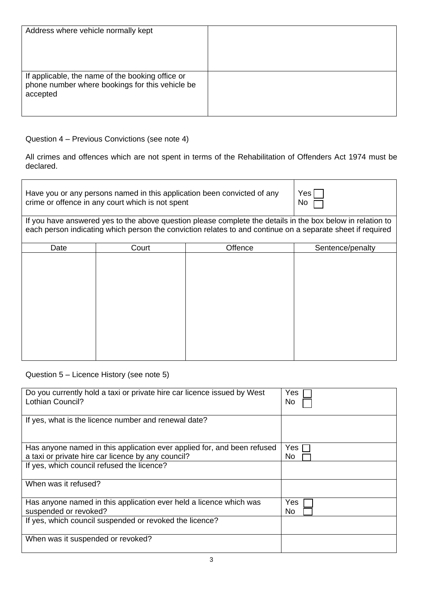| Address where vehicle normally kept                                                                             |  |
|-----------------------------------------------------------------------------------------------------------------|--|
| If applicable, the name of the booking office or<br>phone number where bookings for this vehicle be<br>accepted |  |

Question 4 – Previous Convictions (see note 4)

All crimes and offences which are not spent in terms of the Rehabilitation of Offenders Act 1974 must be declared.

| Have you or any persons named in this application been convicted of any<br>crime or offence in any court which is not spent                                                                                              | <b>Yes</b><br>No. |         |                  |
|--------------------------------------------------------------------------------------------------------------------------------------------------------------------------------------------------------------------------|-------------------|---------|------------------|
| If you have answered yes to the above question please complete the details in the box below in relation to<br>each person indicating which person the conviction relates to and continue on a separate sheet if required |                   |         |                  |
| Date                                                                                                                                                                                                                     | Court             | Offence | Sentence/penalty |
|                                                                                                                                                                                                                          |                   |         |                  |

Question 5 – Licence History (see note 5)

| Do you currently hold a taxi or private hire car licence issued by West<br>Lothian Council?                                   | Yes<br>No.   |
|-------------------------------------------------------------------------------------------------------------------------------|--------------|
| If yes, what is the licence number and renewal date?                                                                          |              |
| Has anyone named in this application ever applied for, and been refused<br>a taxi or private hire car licence by any council? | Yes I<br>No. |
| If yes, which council refused the licence?                                                                                    |              |
| When was it refused?                                                                                                          |              |
| Has anyone named in this application ever held a licence which was<br>suspended or revoked?                                   | Yes<br>No.   |
| If yes, which council suspended or revoked the licence?                                                                       |              |
| When was it suspended or revoked?                                                                                             |              |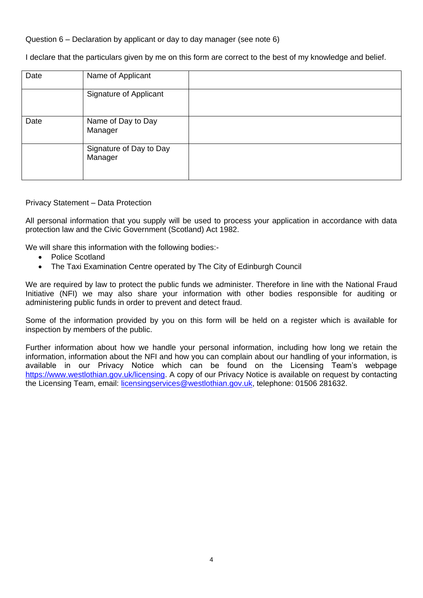Question 6 – Declaration by applicant or day to day manager (see note 6)

I declare that the particulars given by me on this form are correct to the best of my knowledge and belief.

| Date | Name of Applicant                  |  |
|------|------------------------------------|--|
|      | Signature of Applicant             |  |
| Date | Name of Day to Day<br>Manager      |  |
|      | Signature of Day to Day<br>Manager |  |

Privacy Statement – Data Protection

All personal information that you supply will be used to process your application in accordance with data protection law and the Civic Government (Scotland) Act 1982.

We will share this information with the following bodies:-

- Police Scotland
- The Taxi Examination Centre operated by The City of Edinburgh Council

We are required by law to protect the public funds we administer. Therefore in line with the National Fraud Initiative (NFI) we may also share your information with other bodies responsible for auditing or administering public funds in order to prevent and detect fraud.

Some of the information provided by you on this form will be held on a register which is available for inspection by members of the public.

Further information about how we handle your personal information, including how long we retain the information, information about the NFI and how you can complain about our handling of your information, is available in our Privacy Notice which can be found on the Licensing Team's webpage [https://www.westlothian.gov.uk/licensing.](https://www.westlothian.gov.uk/licensing) A copy of our Privacy Notice is available on request by contacting the Licensing Team, email: [licensingservices@westlothian.gov.uk,](mailto:licensingservices@westlothian.gov.uk) telephone: 01506 281632.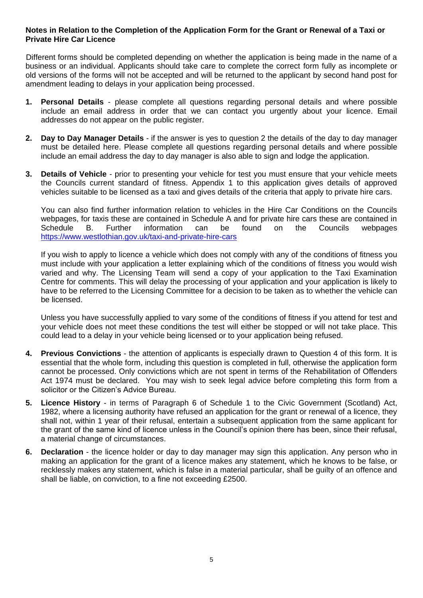# **Notes in Relation to the Completion of the Application Form for the Grant or Renewal of a Taxi or Private Hire Car Licence**

 Different forms should be completed depending on whether the application is being made in the name of a business or an individual. Applicants should take care to complete the correct form fully as incomplete or old versions of the forms will not be accepted and will be returned to the applicant by second hand post for amendment leading to delays in your application being processed.

- **1. Personal Details** please complete all questions regarding personal details and where possible include an email address in order that we can contact you urgently about your licence. Email addresses do not appear on the public register.
- **2. Day to Day Manager Details** if the answer is yes to question 2 the details of the day to day manager must be detailed here. Please complete all questions regarding personal details and where possible include an email address the day to day manager is also able to sign and lodge the application.
- **3. Details of Vehicle** prior to presenting your vehicle for test you must ensure that your vehicle meets the Councils current standard of fitness. Appendix 1 to this application gives details of approved vehicles suitable to be licensed as a taxi and gives details of the criteria that apply to private hire cars.

You can also find further information relation to vehicles in the Hire Car Conditions on the Councils webpages, for taxis these are contained in Schedule A and for private hire cars these are contained in Schedule B. Further information can be found on the Councils webpages <https://www.westlothian.gov.uk/taxi-and-private-hire-cars>

If you wish to apply to licence a vehicle which does not comply with any of the conditions of fitness you must include with your application a letter explaining which of the conditions of fitness you would wish varied and why. The Licensing Team will send a copy of your application to the Taxi Examination Centre for comments. This will delay the processing of your application and your application is likely to have to be referred to the Licensing Committee for a decision to be taken as to whether the vehicle can be licensed.

Unless you have successfully applied to vary some of the conditions of fitness if you attend for test and your vehicle does not meet these conditions the test will either be stopped or will not take place. This could lead to a delay in your vehicle being licensed or to your application being refused.

- **4. Previous Convictions** the attention of applicants is especially drawn to Question 4 of this form. It is essential that the whole form, including this question is completed in full, otherwise the application form cannot be processed. Only convictions which are not spent in terms of the Rehabilitation of Offenders Act 1974 must be declared. You may wish to seek legal advice before completing this form from a solicitor or the Citizen's Advice Bureau.
- **5. Licence History** in terms of Paragraph 6 of Schedule 1 to the Civic Government (Scotland) Act, 1982, where a licensing authority have refused an application for the grant or renewal of a licence, they shall not, within 1 year of their refusal, entertain a subsequent application from the same applicant for the grant of the same kind of licence unless in the Council's opinion there has been, since their refusal, a material change of circumstances.
- **6. Declaration** the licence holder or day to day manager may sign this application. Any person who in making an application for the grant of a licence makes any statement, which he knows to be false, or recklessly makes any statement, which is false in a material particular, shall be guilty of an offence and shall be liable, on conviction, to a fine not exceeding £2500.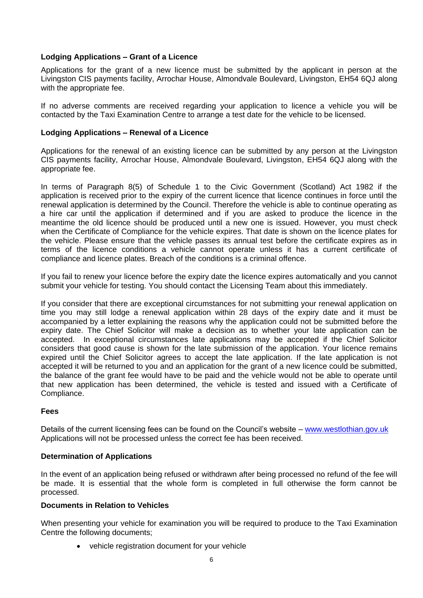# **Lodging Applications – Grant of a Licence**

Applications for the grant of a new licence must be submitted by the applicant in person at the Livingston CIS payments facility, Arrochar House, Almondvale Boulevard, Livingston, EH54 6QJ along with the appropriate fee.

If no adverse comments are received regarding your application to licence a vehicle you will be contacted by the Taxi Examination Centre to arrange a test date for the vehicle to be licensed.

# **Lodging Applications – Renewal of a Licence**

Applications for the renewal of an existing licence can be submitted by any person at the Livingston CIS payments facility, Arrochar House, Almondvale Boulevard, Livingston, EH54 6QJ along with the appropriate fee.

In terms of Paragraph 8(5) of Schedule 1 to the Civic Government (Scotland) Act 1982 if the application is received prior to the expiry of the current licence that licence continues in force until the renewal application is determined by the Council. Therefore the vehicle is able to continue operating as a hire car until the application if determined and if you are asked to produce the licence in the meantime the old licence should be produced until a new one is issued. However, you must check when the Certificate of Compliance for the vehicle expires. That date is shown on the licence plates for the vehicle. Please ensure that the vehicle passes its annual test before the certificate expires as in terms of the licence conditions a vehicle cannot operate unless it has a current certificate of compliance and licence plates. Breach of the conditions is a criminal offence.

If you fail to renew your licence before the expiry date the licence expires automatically and you cannot submit your vehicle for testing. You should contact the Licensing Team about this immediately.

If you consider that there are exceptional circumstances for not submitting your renewal application on time you may still lodge a renewal application within 28 days of the expiry date and it must be accompanied by a letter explaining the reasons why the application could not be submitted before the expiry date. The Chief Solicitor will make a decision as to whether your late application can be accepted. In exceptional circumstances late applications may be accepted if the Chief Solicitor considers that good cause is shown for the late submission of the application. Your licence remains expired until the Chief Solicitor agrees to accept the late application. If the late application is not accepted it will be returned to you and an application for the grant of a new licence could be submitted, the balance of the grant fee would have to be paid and the vehicle would not be able to operate until that new application has been determined, the vehicle is tested and issued with a Certificate of Compliance.

### **Fees**

Details of the current licensing fees can be found on the Council's website – [www.westlothian.gov.uk](http://www.westlothian.gov.uk/) Applications will not be processed unless the correct fee has been received.

### **Determination of Applications**

In the event of an application being refused or withdrawn after being processed no refund of the fee will be made. It is essential that the whole form is completed in full otherwise the form cannot be processed.

### **Documents in Relation to Vehicles**

When presenting your vehicle for examination you will be required to produce to the Taxi Examination Centre the following documents;

• vehicle registration document for your vehicle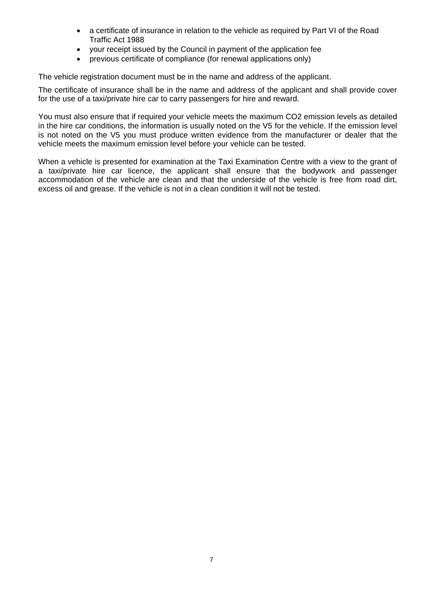- a certificate of insurance in relation to the vehicle as required by Part VI of the Road Traffic Act 1988
- your receipt issued by the Council in payment of the application fee
- previous certificate of compliance (for renewal applications only)

The vehicle registration document must be in the name and address of the applicant.

The certificate of insurance shall be in the name and address of the applicant and shall provide cover for the use of a taxi/private hire car to carry passengers for hire and reward.

You must also ensure that if required your vehicle meets the maximum CO2 emission levels as detailed in the hire car conditions, the information is usually noted on the V5 for the vehicle. If the emission level is not noted on the V5 you must produce written evidence from the manufacturer or dealer that the vehicle meets the maximum emission level before your vehicle can be tested.

When a vehicle is presented for examination at the Taxi Examination Centre with a view to the grant of a taxi/private hire car licence, the applicant shall ensure that the bodywork and passenger accommodation of the vehicle are clean and that the underside of the vehicle is free from road dirt, excess oil and grease. If the vehicle is not in a clean condition it will not be tested.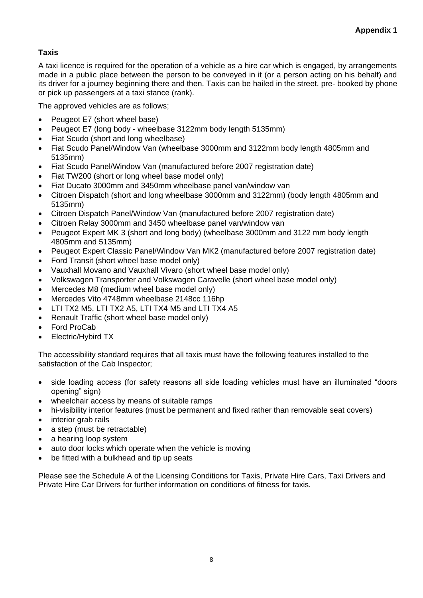# **Taxis**

A taxi licence is required for the operation of a vehicle as a hire car which is engaged, by arrangements made in a public place between the person to be conveyed in it (or a person acting on his behalf) and its driver for a journey beginning there and then. Taxis can be hailed in the street, pre- booked by phone or pick up passengers at a taxi stance (rank).

The approved vehicles are as follows;

- Peugeot E7 (short wheel base)
- Peugeot E7 (long body wheelbase 3122mm body length 5135mm)
- Fiat Scudo (short and long wheelbase)
- Fiat Scudo Panel/Window Van (wheelbase 3000mm and 3122mm body length 4805mm and 5135mm)
- Fiat Scudo Panel/Window Van (manufactured before 2007 registration date)
- Fiat TW200 (short or long wheel base model only)
- Fiat Ducato 3000mm and 3450mm wheelbase panel van/window van
- Citroen Dispatch (short and long wheelbase 3000mm and 3122mm) (body length 4805mm and 5135mm)
- Citroen Dispatch Panel/Window Van (manufactured before 2007 registration date)
- Citroen Relay 3000mm and 3450 wheelbase panel van/window van
- Peugeot Expert MK 3 (short and long body) (wheelbase 3000mm and 3122 mm body length 4805mm and 5135mm)
- Peugeot Expert Classic Panel/Window Van MK2 (manufactured before 2007 registration date)
- Ford Transit (short wheel base model only)
- Vauxhall Movano and Vauxhall Vivaro (short wheel base model only)
- Volkswagen Transporter and Volkswagen Caravelle (short wheel base model only)
- Mercedes M8 (medium wheel base model only)
- Mercedes Vito 4748mm wheelbase 2148cc 116hp
- LTI TX2 M5, LTI TX2 A5, LTI TX4 M5 and LTI TX4 A5
- Renault Traffic (short wheel base model only)
- Ford ProCab
- Electric/Hybird TX

The accessibility standard requires that all taxis must have the following features installed to the satisfaction of the Cab Inspector;

- side loading access (for safety reasons all side loading vehicles must have an illuminated "doors opening" sign)
- wheelchair access by means of suitable ramps
- hi-visibility interior features (must be permanent and fixed rather than removable seat covers)
- interior grab rails
- a step (must be retractable)
- a hearing loop system
- auto door locks which operate when the vehicle is moving
- be fitted with a bulkhead and tip up seats

Please see the Schedule A of the Licensing Conditions for Taxis, Private Hire Cars, Taxi Drivers and Private Hire Car Drivers for further information on conditions of fitness for taxis.